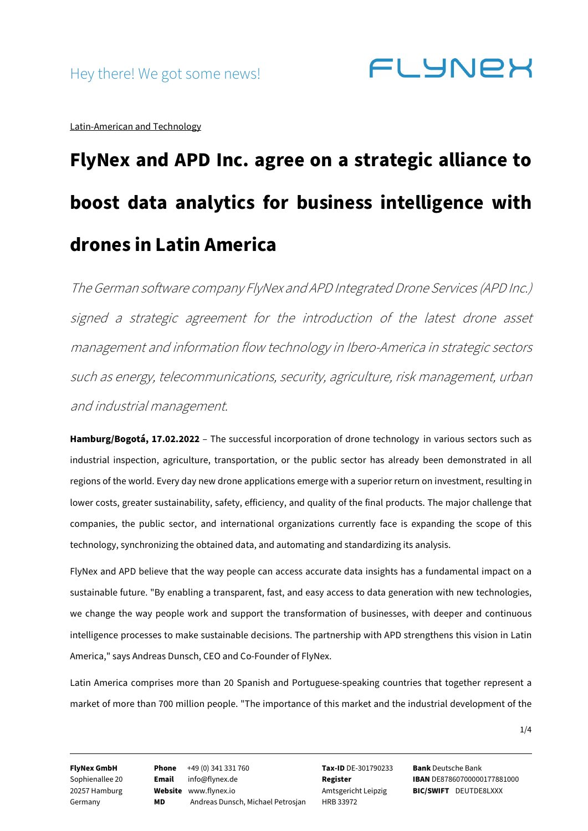**FLYNEX** 

Latin-American and Technology

# **FlyNex and APD Inc. agree on a strategic alliance to boost data analytics for business intelligence with drones in Latin America**

The German software company FlyNex and APD Integrated Drone Services (APD Inc.) signed a strategic agreement for the introduction of the latest drone asset management and information flow technology in Ibero-America in strategic sectors such as energy, telecommunications, security, agriculture, risk management, urban and industrial management.

**Hamburg/Bogotá, 17.02.2022** – The successful incorporation of drone technology in various sectors such as industrial inspection, agriculture, transportation, or the public sector has already been demonstrated in all regions of the world. Every day new drone applications emerge with a superior return on investment, resulting in lower costs, greater sustainability, safety, efficiency, and quality of the final products. The major challenge that companies, the public sector, and international organizations currently face is expanding the scope of this technology, synchronizing the obtained data, and automating and standardizing its analysis.

FlyNex and APD believe that the way people can access accurate data insights has a fundamental impact on a sustainable future. "By enabling a transparent, fast, and easy access to data generation with new technologies, we change the way people work and support the transformation of businesses, with deeper and continuous intelligence processes to make sustainable decisions. The partnership with APD strengthens this vision in Latin America," says Andreas Dunsch, CEO and Co-Founder of FlyNex.

Latin America comprises more than 20 Spanish and Portuguese-speaking countries that together represent a market of more than 700 million people. "The importance of this market and the industrial development of the

1/4

**FlyNex GmbH** Sophienallee 20 20257 Hamburg Germany

**Phone** +49 (0) 341 331 760 **Email** info@flynex.de **Website** www.flynex.io **MD** Andreas Dunsch, Michael Petrosjan

**Tax-ID** DE-301790233 **Register** Amtsgericht Leipzig HRB 33972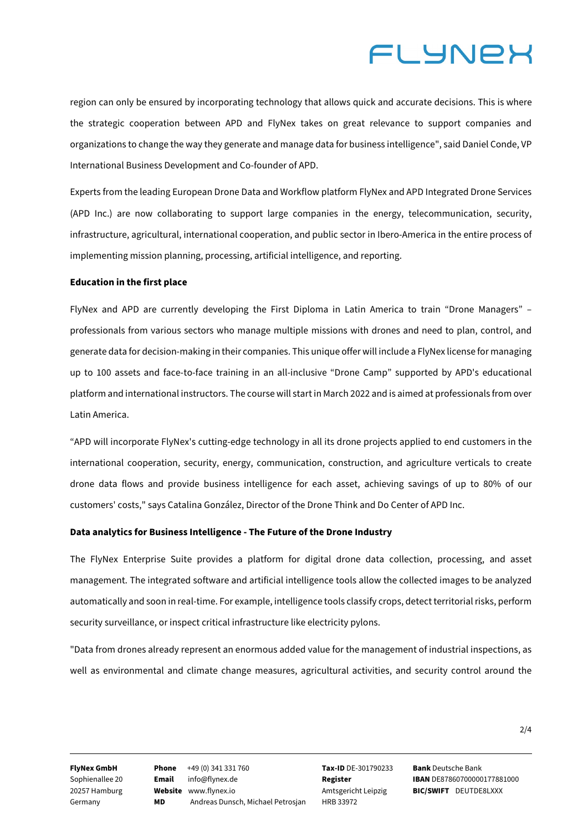## **ELYNEX**

region can only be ensured by incorporating technology that allows quick and accurate decisions. This is where the strategic cooperation between APD and FlyNex takes on great relevance to support companies and organizations to change the way they generate and manage data for business intelligence", said Daniel Conde, VP International Business Development and Co-founder of APD.

Experts from the leading European Drone Data and Workflow platform FlyNex and APD Integrated Drone Services (APD Inc.) are now collaborating to support large companies in the energy, telecommunication, security, infrastructure, agricultural, international cooperation, and public sector in Ibero-America in the entire process of implementing mission planning, processing, artificial intelligence, and reporting.

### **Education in the first place**

FlyNex and APD are currently developing the First Diploma in Latin America to train "Drone Managers" – professionals from various sectors who manage multiple missions with drones and need to plan, control, and generate data for decision-making in their companies. This unique offer will include a FlyNex license for managing up to 100 assets and face-to-face training in an all-inclusive "Drone Camp" supported by APD's educational platform and international instructors. The course will start in March 2022 and is aimed at professionals from over Latin America.

"APD will incorporate FlyNex's cutting-edge technology in all its drone projects applied to end customers in the international cooperation, security, energy, communication, construction, and agriculture verticals to create drone data flows and provide business intelligence for each asset, achieving savings of up to 80% of our customers' costs," says Catalina González, Director of the Drone Think and Do Center of APD Inc.

### **Data analytics for Business Intelligence - The Future of the Drone Industry**

The FlyNex Enterprise Suite provides a platform for digital drone data collection, processing, and asset management. The integrated software and artificial intelligence tools allow the collected images to be analyzed automatically and soon in real-time. For example, intelligence tools classify crops, detect territorial risks, perform security surveillance, or inspect critical infrastructure like electricity pylons.

"Data from drones already represent an enormous added value for the management of industrial inspections, as well as environmental and climate change measures, agricultural activities, and security control around the

**FlyNex GmbH** Sophienallee 20 20257 Hamburg Germany

**Phone** +49 (0) 341 331 760 **Email** info@flynex.de **Website** www.flynex.io **MD** Andreas Dunsch, Michael Petrosjan **Tax-ID** DE-301790233 **Register** Amtsgericht Leipzig HRB 33972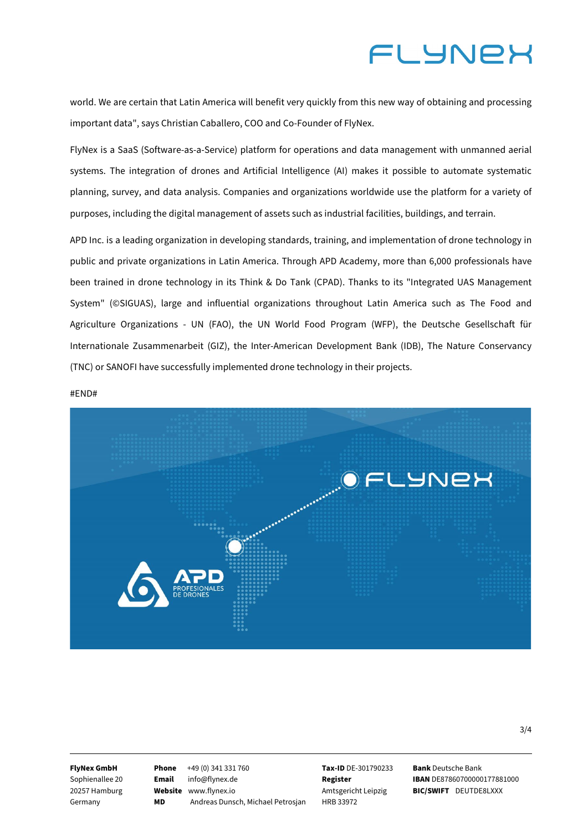### **FLYNEX**

world. We are certain that Latin America will benefit very quickly from this new way of obtaining and processing important data", says Christian Caballero, COO and Co-Founder of FlyNex.

FlyNex is a SaaS (Software-as-a-Service) platform for operations and data management with unmanned aerial systems. The integration of drones and Artificial Intelligence (AI) makes it possible to automate systematic planning, survey, and data analysis. Companies and organizations worldwide use the platform for a variety of purposes, including the digital management of assets such as industrial facilities, buildings, and terrain.

APD Inc. is a leading organization in developing standards, training, and implementation of drone technology in public and private organizations in Latin America. Through APD Academy, more than 6,000 professionals have been trained in drone technology in its Think & Do Tank (CPAD). Thanks to its "Integrated UAS Management System" (©SIGUAS), large and influential organizations throughout Latin America such as The Food and Agriculture Organizations - UN (FAO), the UN World Food Program (WFP), the Deutsche Gesellschaft für Internationale Zusammenarbeit (GIZ), the Inter-American Development Bank (IDB), The Nature Conservancy (TNC) or SANOFI have successfully implemented drone technology in their projects.

#END#



**FlyNex GmbH**

Sophienallee 20 20257 Hamburg Germany

**Phone** +49 (0) 341 331 760 **Email** info@flynex.de **Website** www.flynex.io **MD** Andreas Dunsch, Michael Petrosjan

**Tax-ID** DE-301790233 **Register** Amtsgericht Leipzig HRB 33972